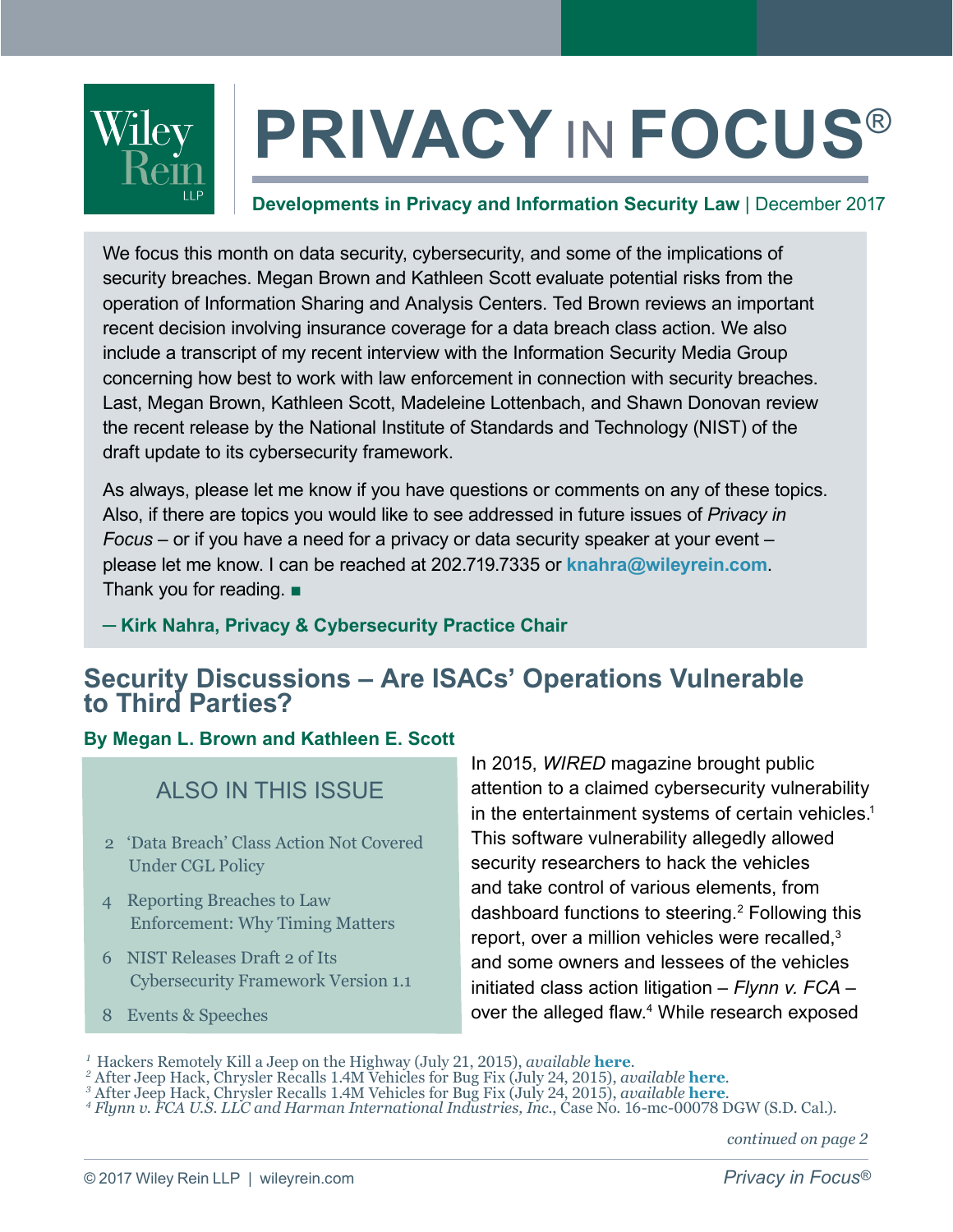

# **PRIVACY** IN **FOCUS**®

### **Developments in Privacy and Information Security Law** | December 2017

We focus this month on data security, cybersecurity, and some of the implications of security breaches. Megan Brown and Kathleen Scott evaluate potential risks from the operation of Information Sharing and Analysis Centers. Ted Brown reviews an important recent decision involving insurance coverage for a data breach class action. We also include a transcript of my recent interview with the Information Security Media Group concerning how best to work with law enforcement in connection with security breaches. Last, Megan Brown, Kathleen Scott, Madeleine Lottenbach, and Shawn Donovan review the recent release by the National Institute of Standards and Technology (NIST) of the draft update to its cybersecurity framework.

As always, please let me know if you have questions or comments on any of these topics. Also, if there are topics you would like to see addressed in future issues of *Privacy in Focus* – or if you have a need for a privacy or data security speaker at your event – please let me know. I can be reached at 202.719.7335 or **[knahra@wileyrein.com](mailto:knahra%40wileyrein.com?subject=)**. Thank you for reading. ■

**─ [Kirk Nahra, Privacy & Cybersecurity Practice Chair](https://www.wileyrein.com/professionals-KirkNahra.html)**

### **Security Discussions – Are ISACs' Operations Vulnerable to Third Parties?**

#### **By Megan L. Brown and Kathleen E. Scott**

### ALSO IN THIS ISSUE

- 2 ['Data Breach' Class Action Not Covered](#page-1-0)  Under CGL Policy
- 4 Reporting Breaches to Law [Enforcement: Why Timing Matters](#page-3-0)
- 6 NIST Releases Draft 2 of Its [Cybersecurity Framework Version 1.1](#page-5-0)
- 8 [Events & Speeches](#page-7-0)

In 2015, *WIRED* magazine brought public attention to a claimed cybersecurity vulnerability in the entertainment systems of certain vehicles.<sup>1</sup> This software vulnerability allegedly allowed security researchers to hack the vehicles and take control of various elements, from dashboard functions to steering.2 Following this report, over a million vehicles were recalled.<sup>3</sup> and some owners and lessees of the vehicles initiated class action litigation – *Flynn v. FCA* – over the alleged flaw.<sup>4</sup> While research exposed

- 
- <sup>3</sup> After Jeep Hack, Chrysler Recalls 1.4M Vehicles for Bug Fix (July 24, 2015), *available* **[here](https://www.wired.com/2015/07/jeep-hack-chrysler-recalls-1-4m-vehicles-bug-fix/).**<br><sup>4</sup> Flynn v. FCA U.S. LLC and Harman International Industries, Inc., Case No. 16-mc-00078 DGW (S.D. Cal.).

*<sup>1</sup>*Hackers Remotely Kill a Jeep on the Highway (July 21, 2015), *available* **[here](https://www.wired.com/2015/07/hackers-remotely-kill-jeep-highway/)***. <sup>2</sup>*

After Jeep Hack, Chrysler Recalls 1.4M Vehicles for Bug Fix (July 24, 2015), *available* **[here](https://www.wired.com/2015/07/jeep-hack-chrysler-recalls-1-4m-vehicles-bug-fix/)***. <sup>3</sup>*

*continued on page 2*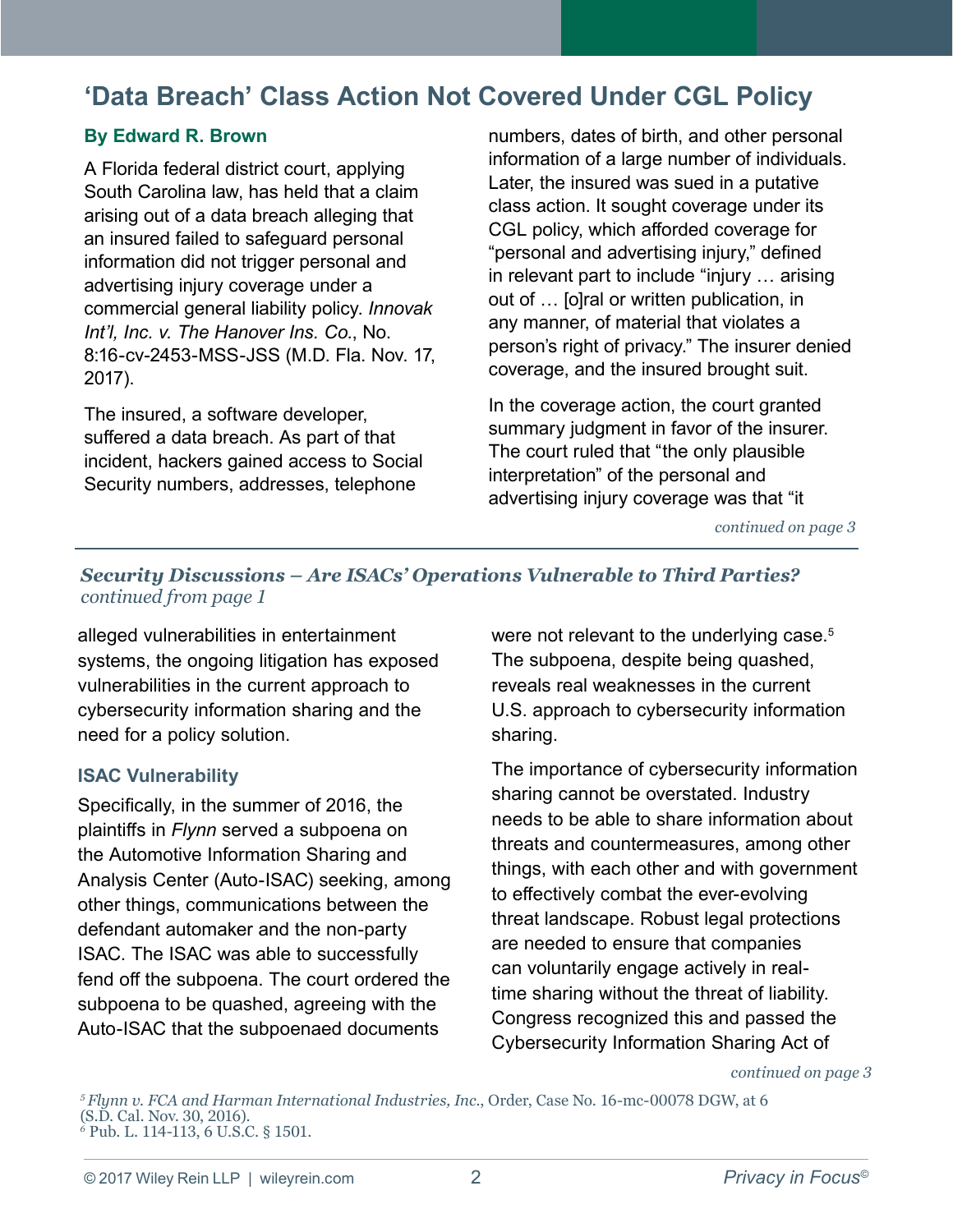### <span id="page-1-0"></span>**'Data Breach' Class Action Not Covered Under CGL Policy**

### **By Edward R. Brown**

A Florida federal district court, applying South Carolina law, has held that a claim arising out of a data breach alleging that an insured failed to safeguard personal information did not trigger personal and advertising injury coverage under a commercial general liability policy. *Innovak Int'l, Inc. v. The Hanover Ins. Co.*, No. 8:16-cv-2453-MSS-JSS (M.D. Fla. Nov. 17, 2017).

The insured, a software developer, suffered a data breach. As part of that incident, hackers gained access to Social Security numbers, addresses, telephone

numbers, dates of birth, and other personal information of a large number of individuals. Later, the insured was sued in a putative class action. It sought coverage under its CGL policy, which afforded coverage for "personal and advertising injury," defined in relevant part to include "injury … arising out of … [o]ral or written publication, in any manner, of material that violates a person's right of privacy." The insurer denied coverage, and the insured brought suit.

In the coverage action, the court granted summary judgment in favor of the insurer. The court ruled that "the only plausible interpretation" of the personal and advertising injury coverage was that "it

*continued on page 3*

### *Security Discussions – Are ISACs' Operations Vulnerable to Third Parties? continued from page 1*

alleged vulnerabilities in entertainment systems, the ongoing litigation has exposed vulnerabilities in the current approach to cybersecurity information sharing and the need for a policy solution.

#### **ISAC Vulnerability**

Specifically, in the summer of 2016, the plaintiffs in *Flynn* served a subpoena on the Automotive Information Sharing and Analysis Center (Auto-ISAC) seeking, among other things, communications between the defendant automaker and the non-party ISAC. The ISAC was able to successfully fend off the subpoena. The court ordered the subpoena to be quashed, agreeing with the Auto-ISAC that the subpoenaed documents

were not relevant to the underlying case.<sup>5</sup> The subpoena, despite being quashed, reveals real weaknesses in the current U.S. approach to cybersecurity information sharing.

The importance of cybersecurity information sharing cannot be overstated. Industry needs to be able to share information about threats and countermeasures, among other things, with each other and with government to effectively combat the ever-evolving threat landscape. Robust legal protections are needed to ensure that companies can voluntarily engage actively in realtime sharing without the threat of liability. Congress recognized this and passed the Cybersecurity Information Sharing Act of

*continued on page 3*

*<sup>5</sup>Flynn v. FCA and Harman International Industries, Inc.*, Order, Case No. 16-mc-00078 DGW, at 6 (S.D. Cal. Nov. 30, 2016). *6* Pub. L. 114-113, 6 U.S.C. § 1501.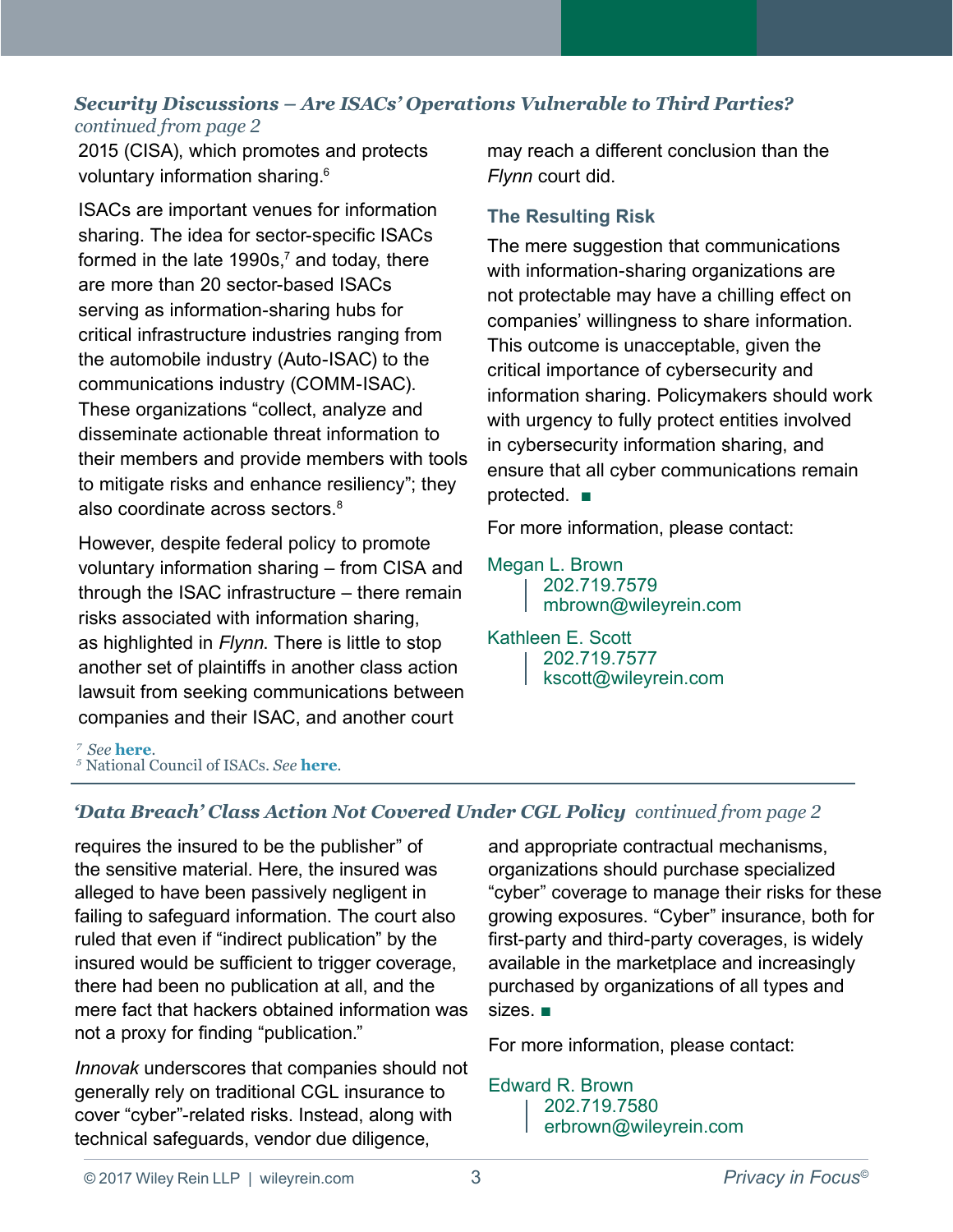### *Security Discussions – Are ISACs' Operations Vulnerable to Third Parties? continued from page 2*

2015 (CISA), which promotes and protects voluntary information sharing.<sup>6</sup>

ISACs are important venues for information sharing. The idea for sector-specific ISACs formed in the late 1990s, $^7$  and today, there are more than 20 sector-based ISACs serving as information-sharing hubs for critical infrastructure industries ranging from the automobile industry (Auto-ISAC) to the communications industry (COMM-ISAC). These organizations "collect, analyze and disseminate actionable threat information to their members and provide members with tools to mitigate risks and enhance resiliency"; they also coordinate across sectors.<sup>8</sup>

However, despite federal policy to promote voluntary information sharing – from CISA and through the ISAC infrastructure – there remain risks associated with information sharing, as highlighted in *Flynn*. There is little to stop another set of plaintiffs in another class action lawsuit from seeking communications between companies and their ISAC, and another court

may reach a different conclusion than the *Flynn* court did.

### **The Resulting Risk**

The mere suggestion that communications with information-sharing organizations are not protectable may have a chilling effect on companies' willingness to share information. This outcome is unacceptable, given the critical importance of cybersecurity and information sharing. Policymakers should work with urgency to fully protect entities involved in cybersecurity information sharing, and ensure that all cyber communications remain protected. ■

For more information, please contact:

### [Megan L. Brown](https://www.wileyrein.com/professionals-MeganBrown.html)

202.719.7579

[mbrown@wileyrein.com](mailto:mbrown@wileyrein.com)

#### [Kathleen E. Scott](https://www.wileyrein.com/professionals-KatScott.html)

202.719.7577

[kscott@wileyrein.com](https://www.wileyrein.com/professionals-KatScott.html)

*<sup>7</sup>See* **[here](https://www.nationalisacs.org/about-isacs)***. <sup>5</sup>*National Council of ISACs. *See* **[here](https://www.nationalisacs.org/about-isacs)***.*

### *'Data Breach' Class Action Not Covered Under CGL Policy continued from page 2*

requires the insured to be the publisher" of the sensitive material. Here, the insured was alleged to have been passively negligent in failing to safeguard information. The court also ruled that even if "indirect publication" by the insured would be sufficient to trigger coverage, there had been no publication at all, and the mere fact that hackers obtained information was not a proxy for finding "publication."

*Innovak* underscores that companies should not generally rely on traditional CGL insurance to cover "cyber"-related risks. Instead, along with technical safeguards, vendor due diligence,

and appropriate contractual mechanisms, organizations should purchase specialized "cyber" coverage to manage their risks for these growing exposures. "Cyber" insurance, both for first-party and third-party coverages, is widely available in the marketplace and increasingly purchased by organizations of all types and sizes. ■

For more information, please contact:

### [Edward R. Brown](https://www.wileyrein.com/professionals-TedBrown.html)

202.719.7580 [erbrown@wileyrein.com](mailto:erbrown@wileyrein.com)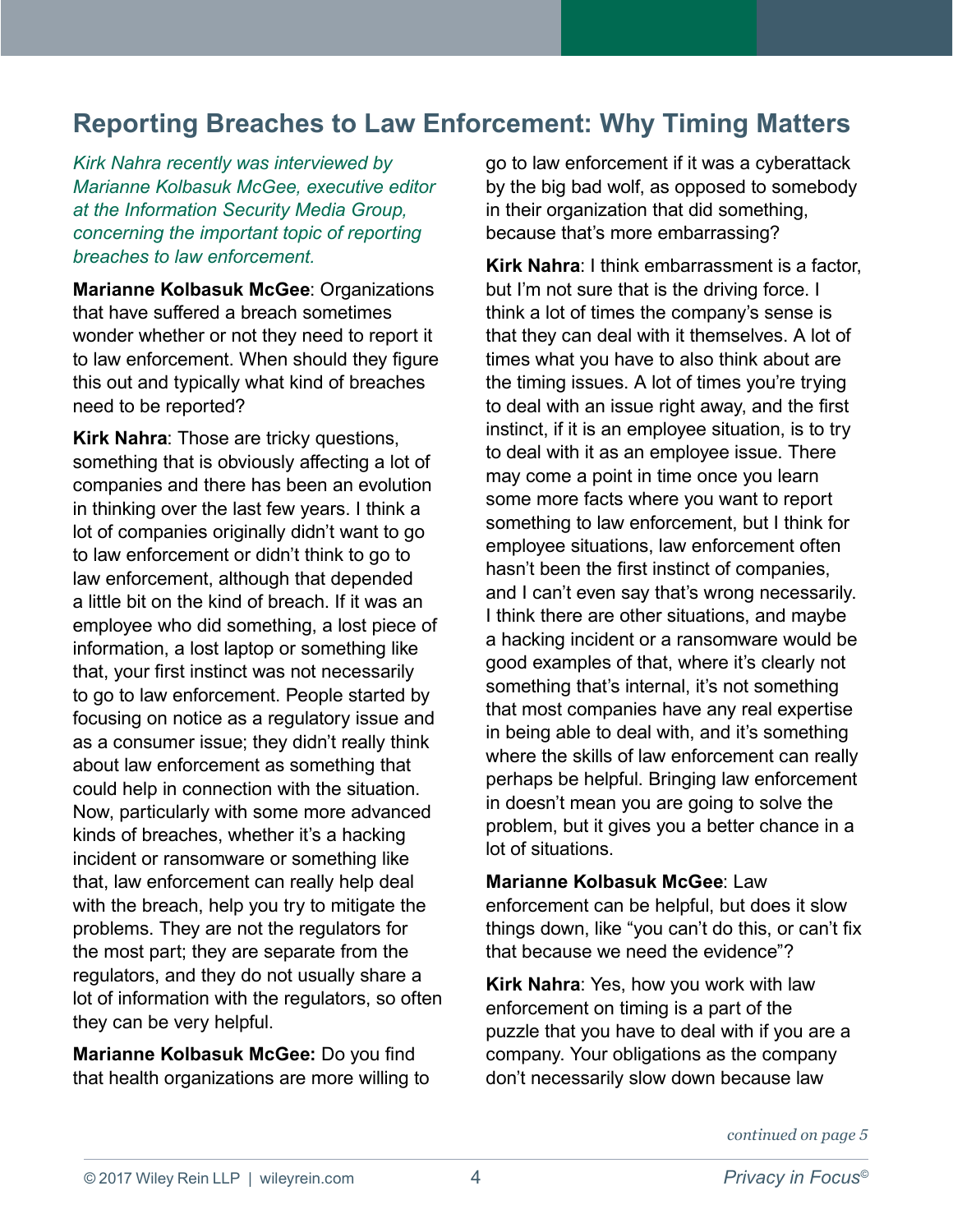### <span id="page-3-0"></span>**Reporting Breaches to Law Enforcement: Why Timing Matters**

*Kirk Nahra recently was interviewed by Marianne Kolbasuk McGee, executive editor at the Information Security Media Group, concerning the important topic of reporting breaches to law enforcement.* 

**Marianne Kolbasuk McGee**: Organizations that have suffered a breach sometimes wonder whether or not they need to report it to law enforcement. When should they figure this out and typically what kind of breaches need to be reported?

**Kirk Nahra**: Those are tricky questions, something that is obviously affecting a lot of companies and there has been an evolution in thinking over the last few years. I think a lot of companies originally didn't want to go to law enforcement or didn't think to go to law enforcement, although that depended a little bit on the kind of breach. If it was an employee who did something, a lost piece of information, a lost laptop or something like that, your first instinct was not necessarily to go to law enforcement. People started by focusing on notice as a regulatory issue and as a consumer issue; they didn't really think about law enforcement as something that could help in connection with the situation. Now, particularly with some more advanced kinds of breaches, whether it's a hacking incident or ransomware or something like that, law enforcement can really help deal with the breach, help you try to mitigate the problems. They are not the regulators for the most part; they are separate from the regulators, and they do not usually share a lot of information with the regulators, so often they can be very helpful.

**Marianne Kolbasuk McGee:** Do you find that health organizations are more willing to go to law enforcement if it was a cyberattack by the big bad wolf, as opposed to somebody in their organization that did something, because that's more embarrassing?

**Kirk Nahra**: I think embarrassment is a factor, but I'm not sure that is the driving force. I think a lot of times the company's sense is that they can deal with it themselves. A lot of times what you have to also think about are the timing issues. A lot of times you're trying to deal with an issue right away, and the first instinct, if it is an employee situation, is to try to deal with it as an employee issue. There may come a point in time once you learn some more facts where you want to report something to law enforcement, but I think for employee situations, law enforcement often hasn't been the first instinct of companies, and I can't even say that's wrong necessarily. I think there are other situations, and maybe a hacking incident or a ransomware would be good examples of that, where it's clearly not something that's internal, it's not something that most companies have any real expertise in being able to deal with, and it's something where the skills of law enforcement can really perhaps be helpful. Bringing law enforcement in doesn't mean you are going to solve the problem, but it gives you a better chance in a lot of situations.

**Marianne Kolbasuk McGee**: Law enforcement can be helpful, but does it slow things down, like "you can't do this, or can't fix that because we need the evidence"?

**Kirk Nahra**: Yes, how you work with law enforcement on timing is a part of the puzzle that you have to deal with if you are a company. Your obligations as the company don't necessarily slow down because law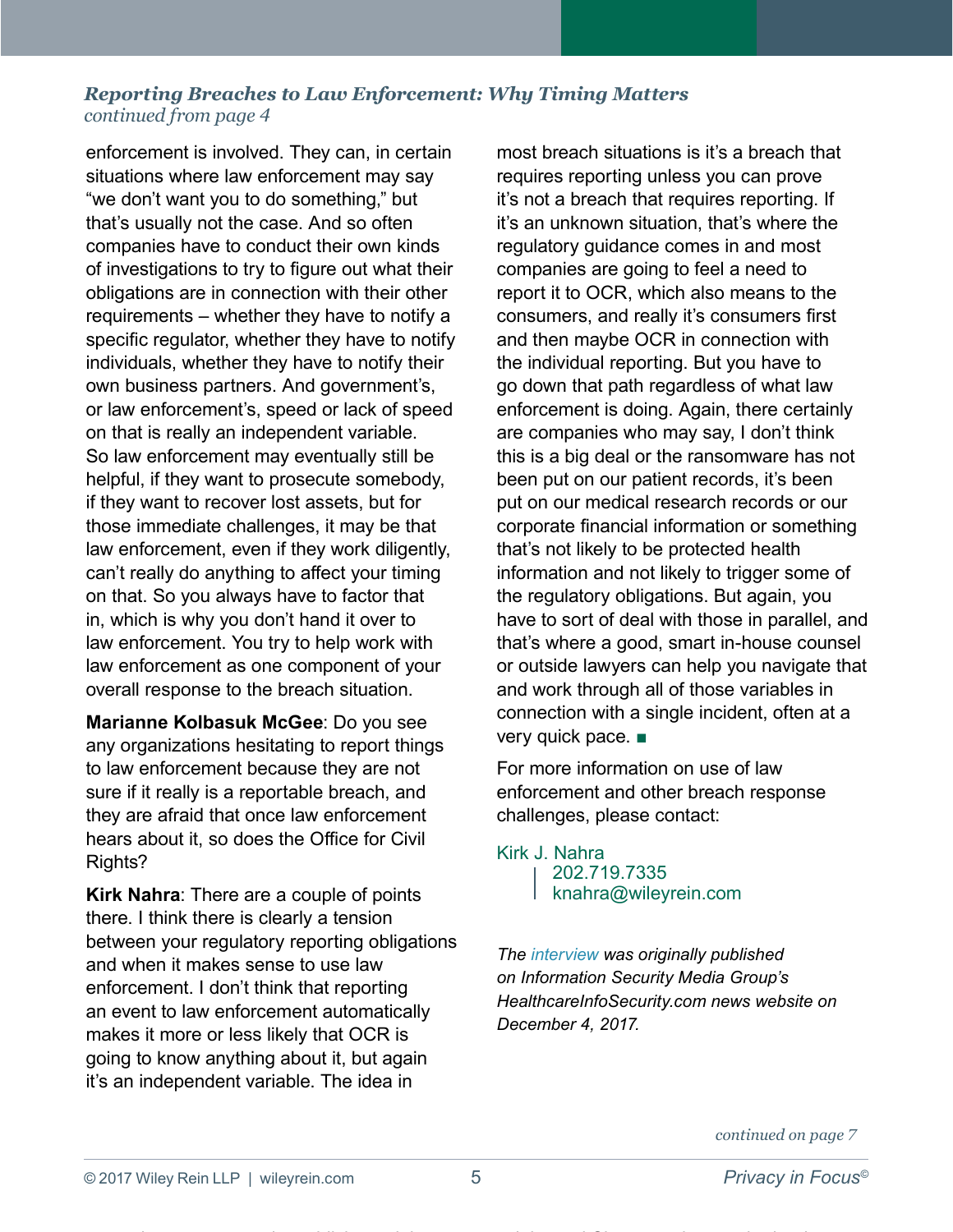### *Reporting Breaches to Law Enforcement: Why Timing Matters continued from page 4*

enforcement is involved. They can, in certain situations where law enforcement may say "we don't want you to do something," but that's usually not the case. And so often companies have to conduct their own kinds of investigations to try to figure out what their obligations are in connection with their other requirements – whether they have to notify a specific regulator, whether they have to notify individuals, whether they have to notify their own business partners. And government's, or law enforcement's, speed or lack of speed on that is really an independent variable. So law enforcement may eventually still be helpful, if they want to prosecute somebody, if they want to recover lost assets, but for those immediate challenges, it may be that law enforcement, even if they work diligently, can't really do anything to affect your timing on that. So you always have to factor that in, which is why you don't hand it over to law enforcement. You try to help work with law enforcement as one component of your overall response to the breach situation.

**Marianne Kolbasuk McGee**: Do you see any organizations hesitating to report things to law enforcement because they are not sure if it really is a reportable breach, and they are afraid that once law enforcement hears about it, so does the Office for Civil Rights?

**Kirk Nahra**: There are a couple of points there. I think there is clearly a tension between your regulatory reporting obligations and when it makes sense to use law enforcement. I don't think that reporting an event to law enforcement automatically makes it more or less likely that OCR is going to know anything about it, but again it's an independent variable. The idea in

most breach situations is it's a breach that requires reporting unless you can prove it's not a breach that requires reporting. If it's an unknown situation, that's where the regulatory guidance comes in and most companies are going to feel a need to report it to OCR, which also means to the consumers, and really it's consumers first and then maybe OCR in connection with the individual reporting. But you have to go down that path regardless of what law enforcement is doing. Again, there certainly are companies who may say, I don't think this is a big deal or the ransomware has not been put on our patient records, it's been put on our medical research records or our corporate financial information or something that's not likely to be protected health information and not likely to trigger some of the regulatory obligations. But again, you have to sort of deal with those in parallel, and that's where a good, smart in-house counsel or outside lawyers can help you navigate that and work through all of those variables in connection with a single incident, often at a very quick pace. ■

For more information on use of law enforcement and other breach response challenges, please contact:

#### [Kirk J. Nahra](https://www.wileyrein.com/professionals-KirkNahra.html)

202.719.7335 [knahra@wileyrein.com](mailto:knahra@wileyrein.com)

*The [interview](https://www.healthcareinfosecurity.com/reporting-breaches-to-law-enforcement-timing-matters-a-10511) was originally published on Information Security Media Group's HealthcareInfoSecurity.com news website on December 4, 2017.*

*continued on page 7*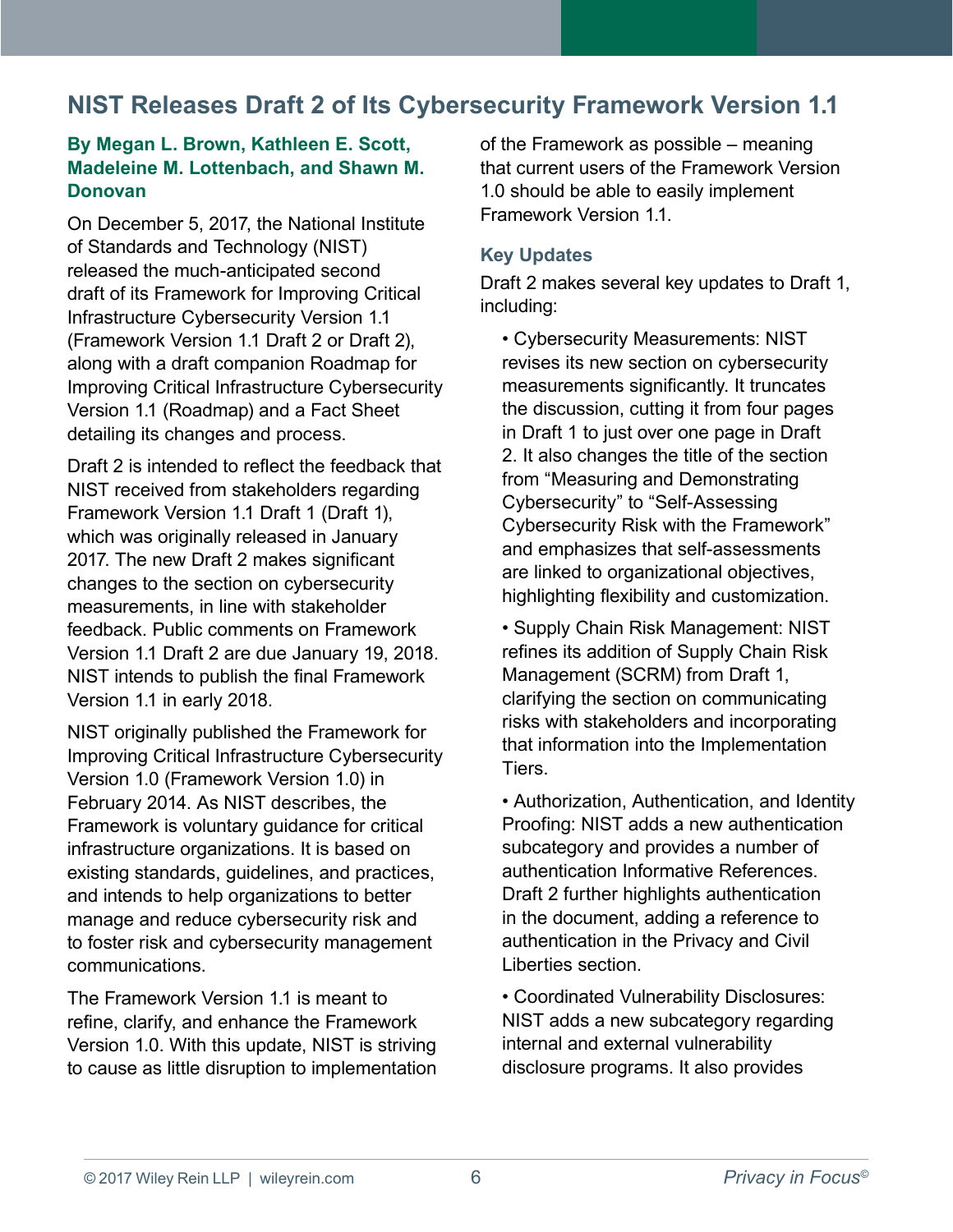### <span id="page-5-0"></span>**NIST Releases Draft 2 of Its Cybersecurity Framework Version 1.1**

### **By Megan L. Brown, Kathleen E. Scott, Madeleine M. Lottenbach, and Shawn M. Donovan**

On December 5, 2017, the National Institute of Standards and Technology (NIST) released the much-anticipated second draft of its Framework for Improving Critical Infrastructure Cybersecurity Version 1.1 (Framework Version 1.1 Draft 2 or Draft 2), along with a draft companion Roadmap for Improving Critical Infrastructure Cybersecurity Version 1.1 (Roadmap) and a Fact Sheet detailing its changes and process.

Draft 2 is intended to reflect the feedback that NIST received from stakeholders regarding Framework Version 1.1 Draft 1 (Draft 1), which was originally released in January 2017. The new Draft 2 makes significant changes to the section on cybersecurity measurements, in line with stakeholder feedback. Public comments on Framework Version 1.1 Draft 2 are due January 19, 2018. NIST intends to publish the final Framework Version 1.1 in early 2018.

NIST originally published the Framework for Improving Critical Infrastructure Cybersecurity Version 1.0 (Framework Version 1.0) in February 2014. As NIST describes, the Framework is voluntary guidance for critical infrastructure organizations. It is based on existing standards, guidelines, and practices, and intends to help organizations to better manage and reduce cybersecurity risk and to foster risk and cybersecurity management communications.

The Framework Version 11 is meant to refine, clarify, and enhance the Framework Version 1.0. With this update, NIST is striving to cause as little disruption to implementation of the Framework as possible – meaning that current users of the Framework Version 1.0 should be able to easily implement Framework Version 1.1.

### **Key Updates**

Draft 2 makes several key updates to Draft 1, including:

• Cybersecurity Measurements: NIST revises its new section on cybersecurity measurements significantly. It truncates the discussion, cutting it from four pages in Draft 1 to just over one page in Draft 2. It also changes the title of the section from "Measuring and Demonstrating Cybersecurity" to "Self-Assessing Cybersecurity Risk with the Framework" and emphasizes that self-assessments are linked to organizational objectives, highlighting flexibility and customization.

• Supply Chain Risk Management: NIST refines its addition of Supply Chain Risk Management (SCRM) from Draft 1, clarifying the section on communicating risks with stakeholders and incorporating that information into the Implementation Tiers.

• Authorization, Authentication, and Identity Proofing: NIST adds a new authentication subcategory and provides a number of authentication Informative References. Draft 2 further highlights authentication in the document, adding a reference to authentication in the Privacy and Civil Liberties section.

• Coordinated Vulnerability Disclosures: NIST adds a new subcategory regarding internal and external vulnerability disclosure programs. It also provides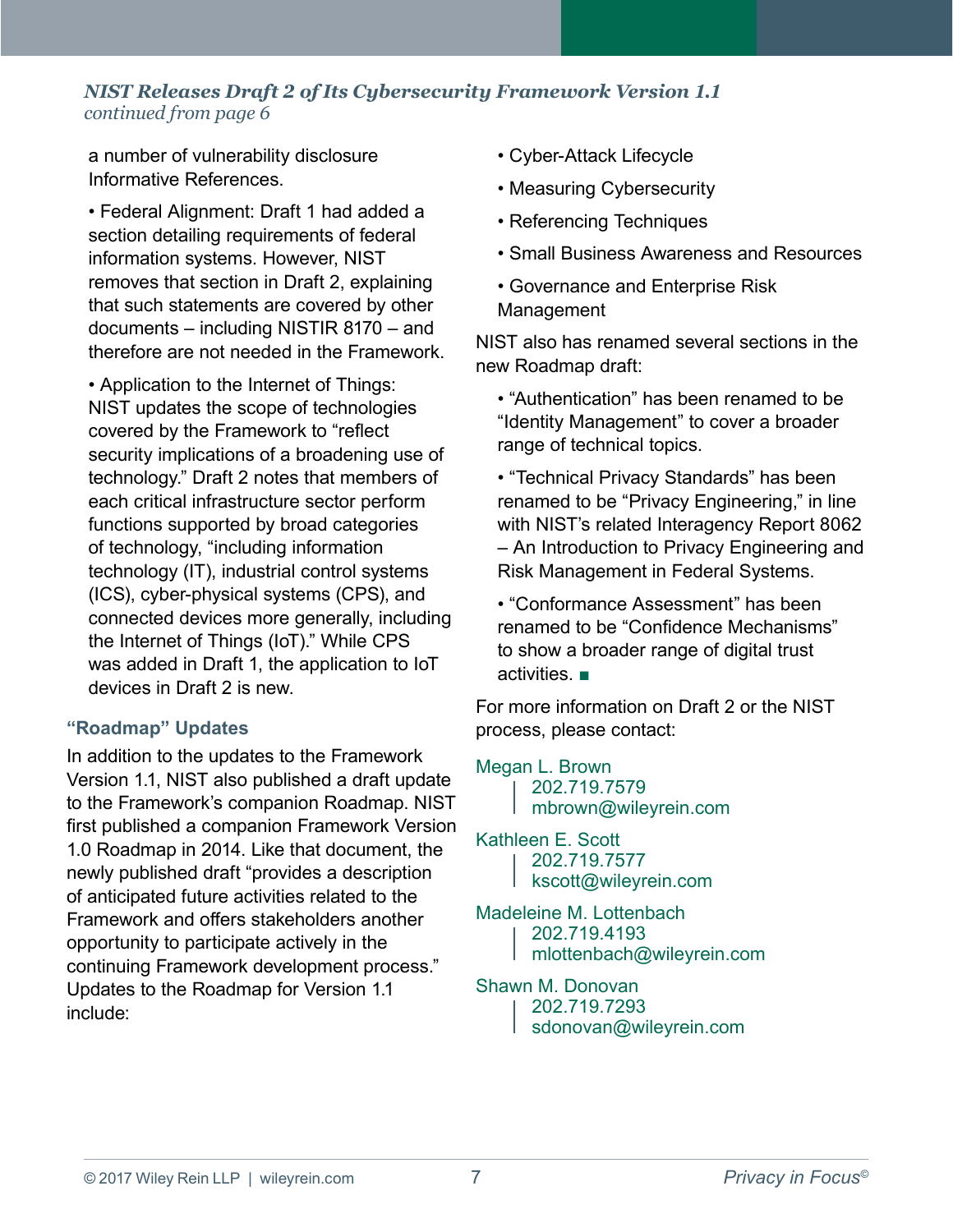### *NIST Releases Draft 2 of Its Cybersecurity Framework Version 1.1 continued from page 6*

a number of vulnerability disclosure Informative References.

• Federal Alignment: Draft 1 had added a section detailing requirements of federal information systems. However, NIST removes that section in Draft 2, explaining that such statements are covered by other documents – including NISTIR 8170 – and therefore are not needed in the Framework.

• Application to the Internet of Things: NIST updates the scope of technologies covered by the Framework to "reflect security implications of a broadening use of technology." Draft 2 notes that members of each critical infrastructure sector perform functions supported by broad categories of technology, "including information technology (IT), industrial control systems (ICS), cyber-physical systems (CPS), and connected devices more generally, including the Internet of Things (IoT)." While CPS was added in Draft 1, the application to IoT devices in Draft 2 is new.

### **"Roadmap" Updates**

In addition to the updates to the Framework Version 1.1, NIST also published a draft update to the Framework's companion Roadmap. NIST first published a companion Framework Version 1.0 Roadmap in 2014. Like that document, the newly published draft "provides a description of anticipated future activities related to the Framework and offers stakeholders another opportunity to participate actively in the continuing Framework development process." Updates to the Roadmap for Version 1.1 include:

- Cyber-Attack Lifecycle
- Measuring Cybersecurity
- Referencing Techniques
- Small Business Awareness and Resources
- Governance and Enterprise Risk Management

NIST also has renamed several sections in the new Roadmap draft:

• "Authentication" has been renamed to be "Identity Management" to cover a broader range of technical topics.

• "Technical Privacy Standards" has been renamed to be "Privacy Engineering," in line with NIST's related Interagency Report 8062 – An Introduction to Privacy Engineering and Risk Management in Federal Systems.

• "Conformance Assessment" has been renamed to be "Confidence Mechanisms" to show a broader range of digital trust activities. ■

For more information on Draft 2 or the NIST process, please contact:

#### [Megan L. Brown](https://www.wileyrein.com/professionals-MeganBrown.html)

202.719.7579 [mbrown@wileyrein.com](mailto:mbrown@wileyrein.com)

- 
- [Kathleen E. Scott](https://www.wileyrein.com/professionals-KatScott.html) 202.719.7577 [kscott@wileyrein.com](mailto:kscott@wileyrein.com)

[Madeleine M. Lottenbach](https://www.wileyrein.com/professionals-MadiLottenbach.html) 202.719.4193 [mlottenbach@wileyrein.com](mailto:kscott@wileyrein.com)

### [Shawn M. Donovan](https://www.wileyrein.com/professionals-ShawnDonovan.html)

202.719.7293 [sdonovan@wileyrein.com](mailto:sdonovan@wileyrein.com)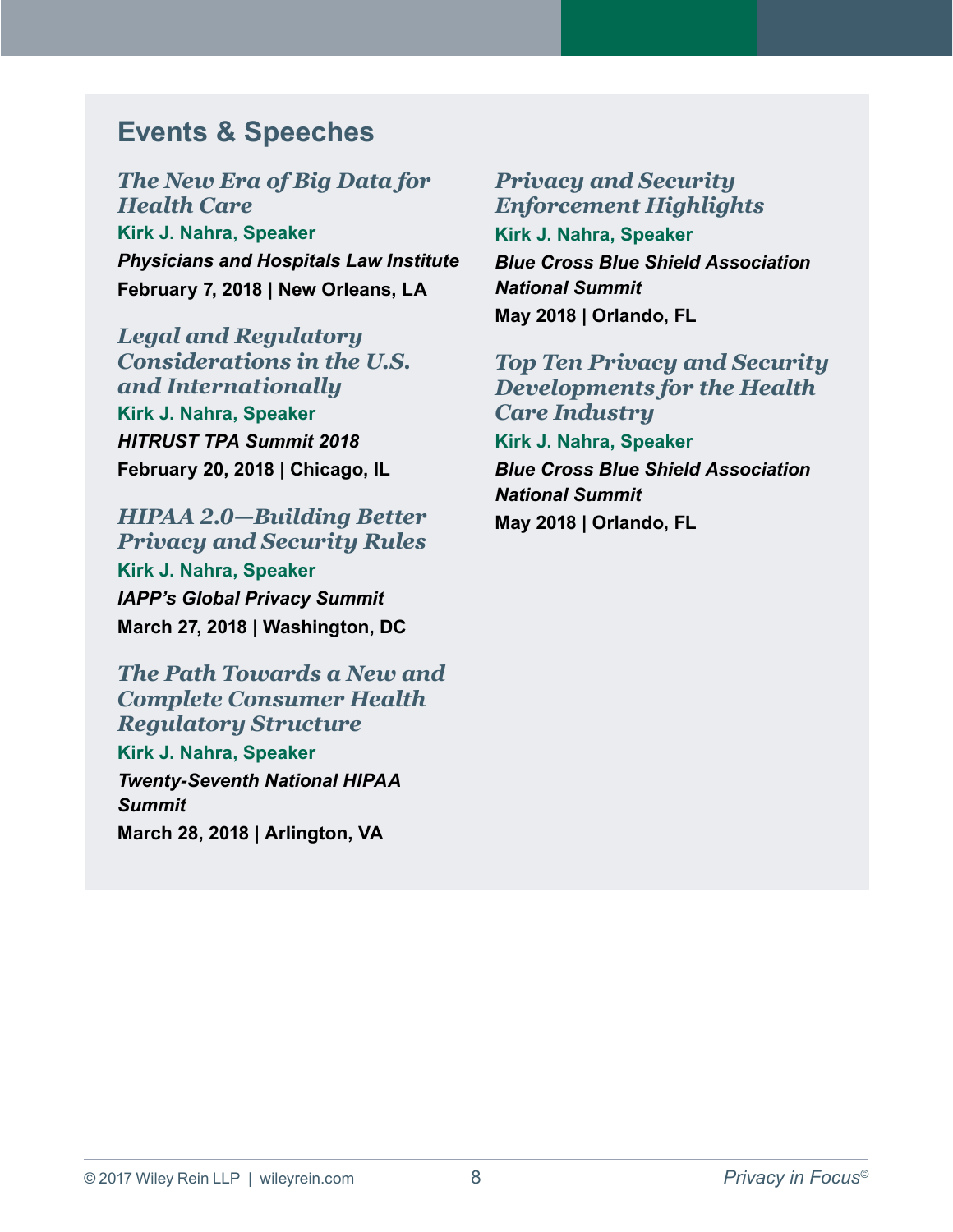### <span id="page-7-0"></span>**Events & Speeches**

*[The New Era of Big Data for](https://www.healthlawyers.org/Pages/In-Person-Details.aspx?MeetingId={7608AB92-5203-E711-941A-0050569E348F}&TermBegins=07/01/2017&TermEnds=06/30/2018)  Health Care* **[Kirk J. Nahra,](https://www.wileyrein.com/professionals-KirkNahra.html) Speaker** *Physicians and Hospitals Law Institute* **February 7, 2018 | New Orleans, LA**

*Legal and Regulatory [Considerations in the U.S.](http://www.cvent.com/events/hitrust-third-party-assurance-summit-2018/event-summary-e5151b0926ee4c21abe96cbdd025b50f.aspx)  and Internationally* **[Kirk J. Nahra,](https://www.wileyrein.com/professionals-KirkNahra.html) Speaker** *HITRUST TPA Summit 2018* **February 20, 2018 | Chicago, IL**

*[HIPAA 2.0—Building Better](https://iapp.org/conference/global-privacy-summit-2018/)  Privacy and Security Rules* **[Kirk J. Nahra,](https://www.wileyrein.com/professionals-KirkNahra.html) Speaker** *IAPP's Global Privacy Summit* **March 27, 2018 | Washington, DC**

*The Path Towards a New and Complete Consumer Health Regulatory Structure* **[Kirk J. Nahra,](https://www.wileyrein.com/professionals-KirkNahra.html) Speaker** *Twenty-Seventh National HIPAA Summit*  **March 28, 2018 | Arlington, VA**

*Privacy and Security Enforcement Highlights*  **[Kirk J. Nahra,](https://www.wileyrein.com/professionals-KirkNahra.html) Speaker** *Blue Cross Blue Shield Association National Summit* **May 2018 | Orlando, FL** 

*Top Ten Privacy and Security Developments for the Health Care Industry*  **[Kirk J. Nahra,](https://www.wileyrein.com/professionals-KirkNahra.html) Speaker** *Blue Cross Blue Shield Association National Summit* **May 2018 | Orlando, FL**